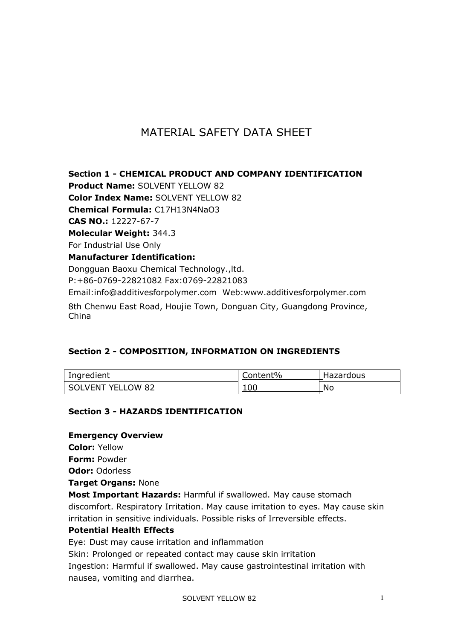# MATERIAL SAFETY DATA SHEET

**Section 1 - CHEMICAL PRODUCT AND COMPANY IDENTIFICATION Product Name:** SOLVENT YELLOW 82 **Color Index Name:** SOLVENT YELLOW 82 **Chemical Formula:** C17H13N4NaO3 **CAS NO.:** 12227-67-7 **Molecular Weight:** 344.3 For Industrial Use Only **Manufacturer Identification:** Dongguan Baoxu Chemical Technology.,ltd. P:+86-0769-22821082 Fax:0769-22821083 Email:info@additivesforpolymer.com Web:www.additivesforpolymer.com 8th Chenwu East Road, Houjie Town, Donguan City, Guangdong Province, China

# **Section 2 - COMPOSITION, INFORMATION ON INGREDIENTS**

| Ingredient        | Content% | Hazardous |
|-------------------|----------|-----------|
| SOLVENT YELLOW 82 | 100      | No        |

# **Section 3 - HAZARDS IDENTIFICATION**

# **Emergency Overview**

**Color:** Yellow

**Form:** Powder

**Odor:** Odorless

**Target Organs:** None

**Most Important Hazards:** Harmful if swallowed. May cause stomach discomfort. Respiratory Irritation. May cause irritation to eyes. May cause skin irritation in sensitive individuals. Possible risks of Irreversible effects.

#### **Potential Health Effects**

Eye: Dust may cause irritation and inflammation

Skin: Prolonged or repeated contact may cause skin irritation

Ingestion: Harmful if swallowed. May cause gastrointestinal irritation with nausea, vomiting and diarrhea.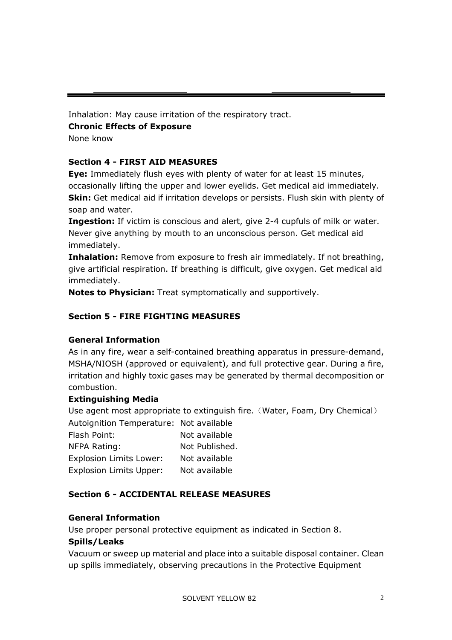Inhalation: May cause irritation of the respiratory tract.

**Chronic Effects of Exposure** 

None know

# **Section 4 - FIRST AID MEASURES**

**Eye:** Immediately flush eyes with plenty of water for at least 15 minutes, occasionally lifting the upper and lower eyelids. Get medical aid immediately. **Skin:** Get medical aid if irritation develops or persists. Flush skin with plenty of soap and water.

**Ingestion:** If victim is conscious and alert, give 2-4 cupfuls of milk or water. Never give anything by mouth to an unconscious person. Get medical aid immediately.

**Inhalation:** Remove from exposure to fresh air immediately. If not breathing, give artificial respiration. If breathing is difficult, give oxygen. Get medical aid immediately.

**Notes to Physician:** Treat symptomatically and supportively.

# **Section 5 - FIRE FIGHTING MEASURES**

# **General Information**

As in any fire, wear a self-contained breathing apparatus in pressure-demand, MSHA/NIOSH (approved or equivalent), and full protective gear. During a fire, irritation and highly toxic gases may be generated by thermal decomposition or combustion.

# **Extinguishing Media**

Use agent most appropriate to extinguish fire. (Water, Foam, Dry Chemical) Autoignition Temperature: Not available

| Flash Point:                   | Not available  |
|--------------------------------|----------------|
| NFPA Rating:                   | Not Published. |
| <b>Explosion Limits Lower:</b> | Not available  |
| <b>Explosion Limits Upper:</b> | Not available  |

# **Section 6 - ACCIDENTAL RELEASE MEASURES**

# **General Information**

Use proper personal protective equipment as indicated in Section 8.

# **Spills/Leaks**

Vacuum or sweep up material and place into a suitable disposal container. Clean up spills immediately, observing precautions in the Protective Equipment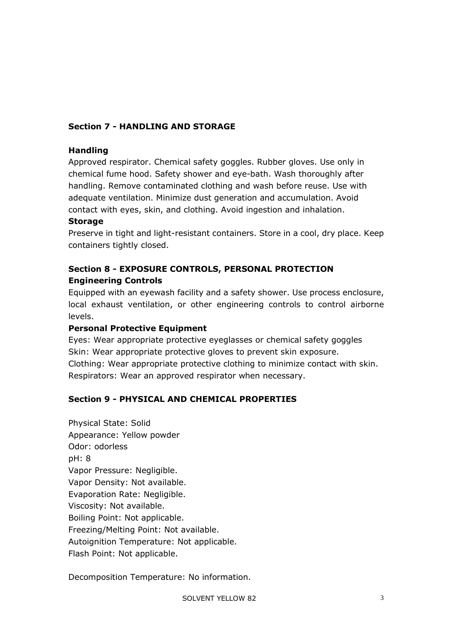# **Section 7 - HANDLING AND STORAGE**

#### **Handling**

Approved respirator. Chemical safety goggles. Rubber gloves. Use only in chemical fume hood. Safety shower and eye-bath. Wash thoroughly after handling. Remove contaminated clothing and wash before reuse. Use with adequate ventilation. Minimize dust generation and accumulation. Avoid contact with eyes, skin, and clothing. Avoid ingestion and inhalation.

#### **Storage**

Preserve in tight and light-resistant containers. Store in a cool, dry place. Keep containers tightly closed.

# **Section 8 - EXPOSURE CONTROLS, PERSONAL PROTECTION Engineering Controls**

Equipped with an eyewash facility and a safety shower. Use process enclosure, local exhaust ventilation, or other engineering controls to control airborne levels.

# **Personal Protective Equipment**

Eyes: Wear appropriate protective eyeglasses or chemical safety goggles Skin: Wear appropriate protective gloves to prevent skin exposure. Clothing: Wear appropriate protective clothing to minimize contact with skin. Respirators: Wear an approved respirator when necessary.

# **Section 9 - PHYSICAL AND CHEMICAL PROPERTIES**

Physical State: Solid Appearance: Yellow powder Odor: odorless pH: 8 Vapor Pressure: Negligible. Vapor Density: Not available. Evaporation Rate: Negligible. Viscosity: Not available. Boiling Point: Not applicable. Freezing/Melting Point: Not available. Autoignition Temperature: Not applicable. Flash Point: Not applicable.

Decomposition Temperature: No information.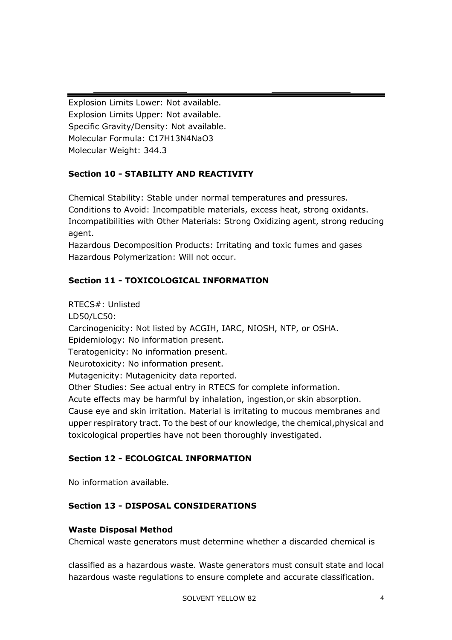Explosion Limits Lower: Not available. Explosion Limits Upper: Not available. Specific Gravity/Density: Not available. Molecular Formula: C17H13N4NaO3 Molecular Weight: 344.3

# **Section 10 - STABILITY AND REACTIVITY**

Chemical Stability: Stable under normal temperatures and pressures. Conditions to Avoid: Incompatible materials, excess heat, strong oxidants. Incompatibilities with Other Materials: Strong Oxidizing agent, strong reducing agent.

Hazardous Decomposition Products: Irritating and toxic fumes and gases Hazardous Polymerization: Will not occur.

# **Section 11 - TOXICOLOGICAL INFORMATION**

RTECS#: Unlisted LD50/LC50: Carcinogenicity: Not listed by ACGIH, IARC, NIOSH, NTP, or OSHA. Epidemiology: No information present. Teratogenicity: No information present. Neurotoxicity: No information present. Mutagenicity: Mutagenicity data reported. Other Studies: See actual entry in RTECS for complete information. Acute effects may be harmful by inhalation, ingestion,or skin absorption. Cause eye and skin irritation. Material is irritating to mucous membranes and upper respiratory tract. To the best of our knowledge, the chemical,physical and toxicological properties have not been thoroughly investigated.

# **Section 12 - ECOLOGICAL INFORMATION**

No information available.

# **Section 13 - DISPOSAL CONSIDERATIONS**

#### **Waste Disposal Method**

Chemical waste generators must determine whether a discarded chemical is

classified as a hazardous waste. Waste generators must consult state and local hazardous waste regulations to ensure complete and accurate classification.